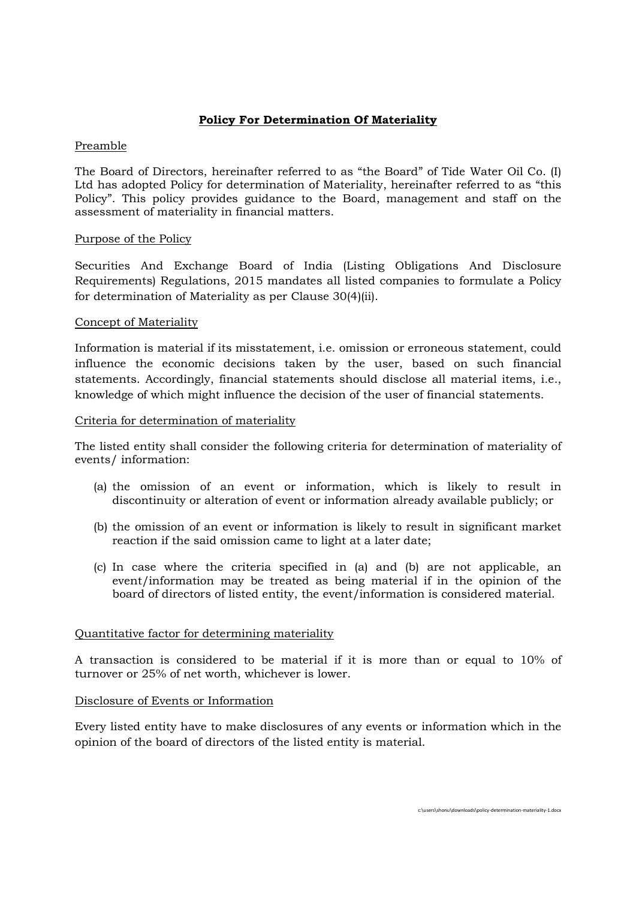# Policy For Determination Of Materiality

### Preamble

The Board of Directors, hereinafter referred to as "the Board" of Tide Water Oil Co. (I) Ltd has adopted Policy for determination of Materiality, hereinafter referred to as "this Policy". This policy provides guidance to the Board, management and staff on the assessment of materiality in financial matters.

### Purpose of the Policy

Securities And Exchange Board of India (Listing Obligations And Disclosure Requirements) Regulations, 2015 mandates all listed companies to formulate a Policy for determination of Materiality as per Clause 30(4)(ii).

### Concept of Materiality

Information is material if its misstatement, i.e. omission or erroneous statement, could influence the economic decisions taken by the user, based on such financial statements. Accordingly, financial statements should disclose all material items, i.e., knowledge of which might influence the decision of the user of financial statements.

### Criteria for determination of materiality

The listed entity shall consider the following criteria for determination of materiality of events/ information:

- (a) the omission of an event or information, which is likely to result in discontinuity or alteration of event or information already available publicly; or
- (b) the omission of an event or information is likely to result in significant market reaction if the said omission came to light at a later date;
- (c) In case where the criteria specified in (a) and (b) are not applicable, an event/information may be treated as being material if in the opinion of the board of directors of listed entity, the event/information is considered material.

#### Quantitative factor for determining materiality

A transaction is considered to be material if it is more than or equal to 10% of turnover or 25% of net worth, whichever is lower.

## Disclosure of Events or Information

Every listed entity have to make disclosures of any events or information which in the opinion of the board of directors of the listed entity is material.

c:\users\shonu\downloads\policy-determination-materiality-1.docx